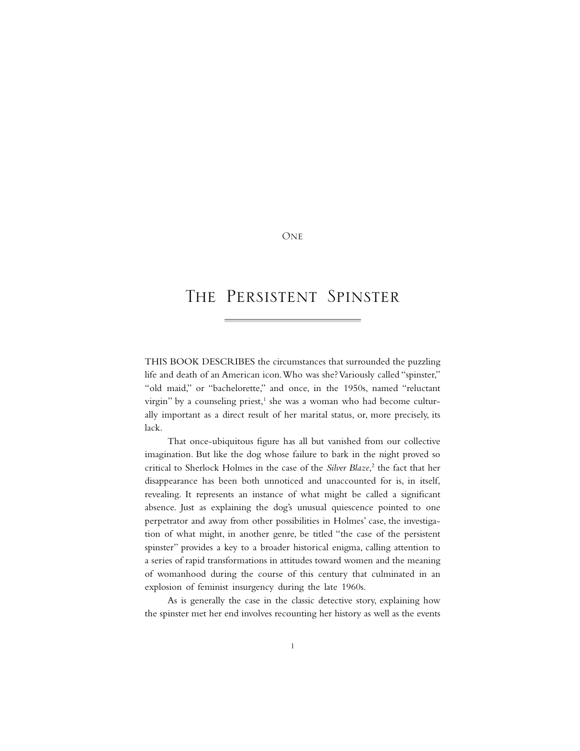## **ONE**

# The Persistent Spinster

THIS BOOK DESCRIBES the circumstances that surrounded the puzzling life and death of an American icon. Who was she? Variously called "spinster," "old maid," or "bachelorette," and once, in the 1950s, named "reluctant virgin" by a counseling priest,<sup>1</sup> she was a woman who had become culturally important as a direct result of her marital status, or, more precisely, its lack.

That once-ubiquitous figure has all but vanished from our collective imagination. But like the dog whose failure to bark in the night proved so critical to Sherlock Holmes in the case of the Silver Blaze,<sup>2</sup> the fact that her disappearance has been both unnoticed and unaccounted for is, in itself, revealing. It represents an instance of what might be called a significant absence. Just as explaining the dog's unusual quiescence pointed to one perpetrator and away from other possibilities in Holmes' case, the investigation of what might, in another genre, be titled "the case of the persistent spinster" provides a key to a broader historical enigma, calling attention to a series of rapid transformations in attitudes toward women and the meaning of womanhood during the course of this century that culminated in an explosion of feminist insurgency during the late 1960s.

As is generally the case in the classic detective story, explaining how the spinster met her end involves recounting her history as well as the events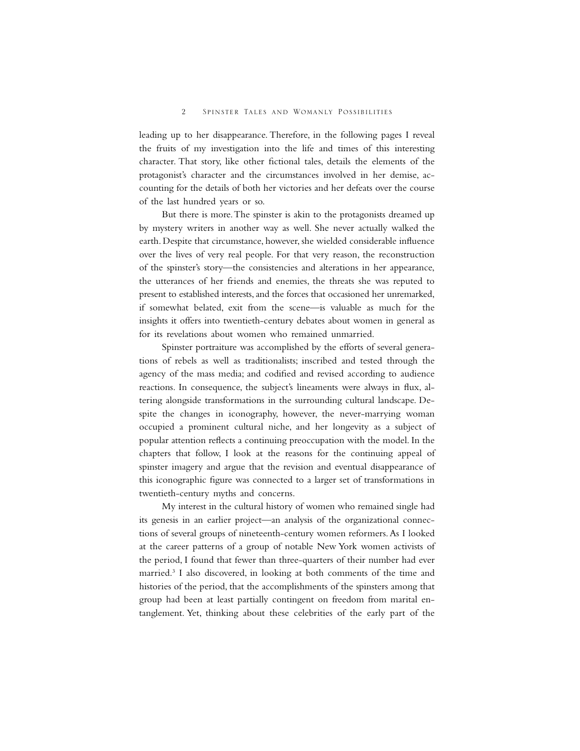leading up to her disappearance. Therefore, in the following pages I reveal the fruits of my investigation into the life and times of this interesting character. That story, like other fictional tales, details the elements of the protagonist's character and the circumstances involved in her demise, accounting for the details of both her victories and her defeats over the course of the last hundred years or so.

But there is more. The spinster is akin to the protagonists dreamed up by mystery writers in another way as well. She never actually walked the earth. Despite that circumstance, however, she wielded considerable influence over the lives of very real people. For that very reason, the reconstruction of the spinster's story—the consistencies and alterations in her appearance, the utterances of her friends and enemies, the threats she was reputed to present to established interests, and the forces that occasioned her unremarked, if somewhat belated, exit from the scene—is valuable as much for the insights it offers into twentieth-century debates about women in general as for its revelations about women who remained unmarried.

Spinster portraiture was accomplished by the efforts of several generations of rebels as well as traditionalists; inscribed and tested through the agency of the mass media; and codified and revised according to audience reactions. In consequence, the subject's lineaments were always in flux, altering alongside transformations in the surrounding cultural landscape. Despite the changes in iconography, however, the never-marrying woman occupied a prominent cultural niche, and her longevity as a subject of popular attention reflects a continuing preoccupation with the model. In the chapters that follow, I look at the reasons for the continuing appeal of spinster imagery and argue that the revision and eventual disappearance of this iconographic figure was connected to a larger set of transformations in twentieth-century myths and concerns.

My interest in the cultural history of women who remained single had its genesis in an earlier project—an analysis of the organizational connections of several groups of nineteenth-century women reformers. As I looked at the career patterns of a group of notable New York women activists of the period, I found that fewer than three-quarters of their number had ever married.3 I also discovered, in looking at both comments of the time and histories of the period, that the accomplishments of the spinsters among that group had been at least partially contingent on freedom from marital entanglement. Yet, thinking about these celebrities of the early part of the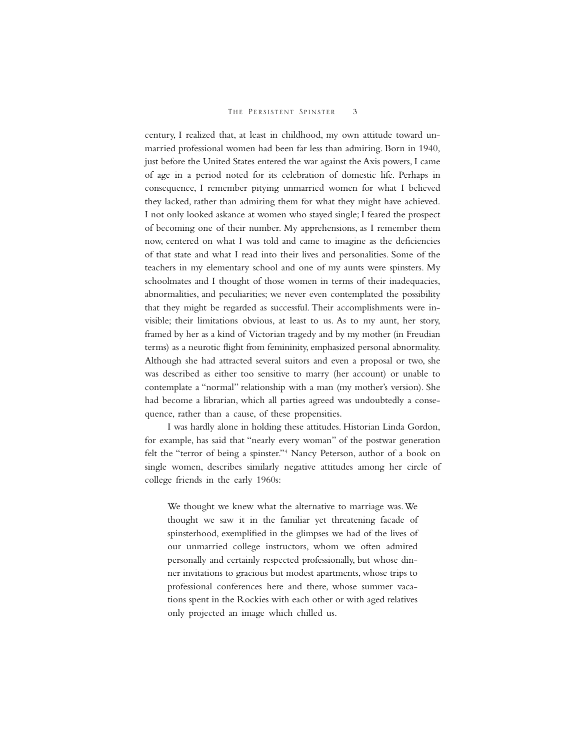century, I realized that, at least in childhood, my own attitude toward unmarried professional women had been far less than admiring. Born in 1940, just before the United States entered the war against the Axis powers, I came of age in a period noted for its celebration of domestic life. Perhaps in consequence, I remember pitying unmarried women for what I believed they lacked, rather than admiring them for what they might have achieved. I not only looked askance at women who stayed single; I feared the prospect of becoming one of their number. My apprehensions, as I remember them now, centered on what I was told and came to imagine as the deficiencies of that state and what I read into their lives and personalities. Some of the teachers in my elementary school and one of my aunts were spinsters. My schoolmates and I thought of those women in terms of their inadequacies, abnormalities, and peculiarities; we never even contemplated the possibility that they might be regarded as successful. Their accomplishments were invisible; their limitations obvious, at least to us. As to my aunt, her story, framed by her as a kind of Victorian tragedy and by my mother (in Freudian terms) as a neurotic flight from femininity, emphasized personal abnormality. Although she had attracted several suitors and even a proposal or two, she was described as either too sensitive to marry (her account) or unable to contemplate a "normal" relationship with a man (my mother's version). She had become a librarian, which all parties agreed was undoubtedly a consequence, rather than a cause, of these propensities.

I was hardly alone in holding these attitudes. Historian Linda Gordon, for example, has said that "nearly every woman" of the postwar generation felt the "terror of being a spinster."4 Nancy Peterson, author of a book on single women, describes similarly negative attitudes among her circle of college friends in the early 1960s:

We thought we knew what the alternative to marriage was. We thought we saw it in the familiar yet threatening facade of spinsterhood, exemplified in the glimpses we had of the lives of our unmarried college instructors, whom we often admired personally and certainly respected professionally, but whose dinner invitations to gracious but modest apartments, whose trips to professional conferences here and there, whose summer vacations spent in the Rockies with each other or with aged relatives only projected an image which chilled us.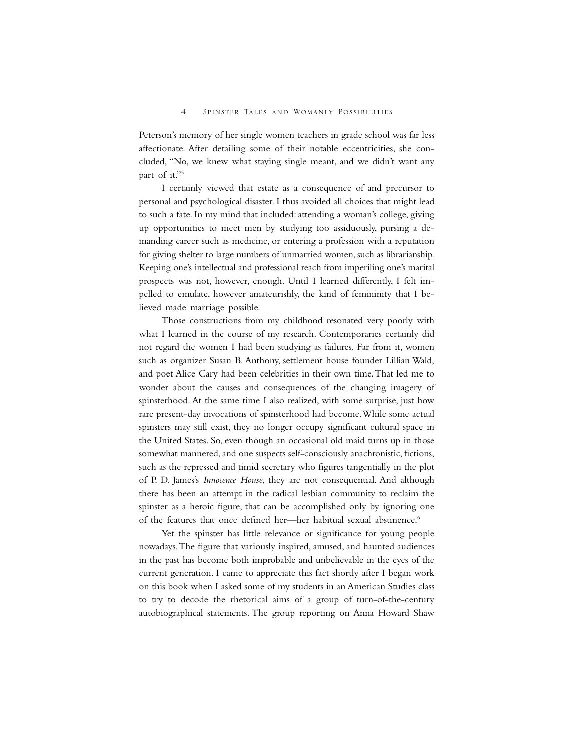Peterson's memory of her single women teachers in grade school was far less affectionate. After detailing some of their notable eccentricities, she concluded, "No, we knew what staying single meant, and we didn't want any part of it."5

I certainly viewed that estate as a consequence of and precursor to personal and psychological disaster. I thus avoided all choices that might lead to such a fate. In my mind that included: attending a woman's college, giving up opportunities to meet men by studying too assiduously, pursing a demanding career such as medicine, or entering a profession with a reputation for giving shelter to large numbers of unmarried women, such as librarianship. Keeping one's intellectual and professional reach from imperiling one's marital prospects was not, however, enough. Until I learned differently, I felt impelled to emulate, however amateurishly, the kind of femininity that I believed made marriage possible.

Those constructions from my childhood resonated very poorly with what I learned in the course of my research. Contemporaries certainly did not regard the women I had been studying as failures. Far from it, women such as organizer Susan B. Anthony, settlement house founder Lillian Wald, and poet Alice Cary had been celebrities in their own time. That led me to wonder about the causes and consequences of the changing imagery of spinsterhood. At the same time I also realized, with some surprise, just how rare present-day invocations of spinsterhood had become. While some actual spinsters may still exist, they no longer occupy significant cultural space in the United States. So, even though an occasional old maid turns up in those somewhat mannered, and one suspects self-consciously anachronistic, fictions, such as the repressed and timid secretary who figures tangentially in the plot of P. D. James's *Innocence House*, they are not consequential. And although there has been an attempt in the radical lesbian community to reclaim the spinster as a heroic figure, that can be accomplished only by ignoring one of the features that once defined her—her habitual sexual abstinence.<sup>6</sup>

Yet the spinster has little relevance or significance for young people nowadays. The figure that variously inspired, amused, and haunted audiences in the past has become both improbable and unbelievable in the eyes of the current generation. I came to appreciate this fact shortly after I began work on this book when I asked some of my students in an American Studies class to try to decode the rhetorical aims of a group of turn-of-the-century autobiographical statements. The group reporting on Anna Howard Shaw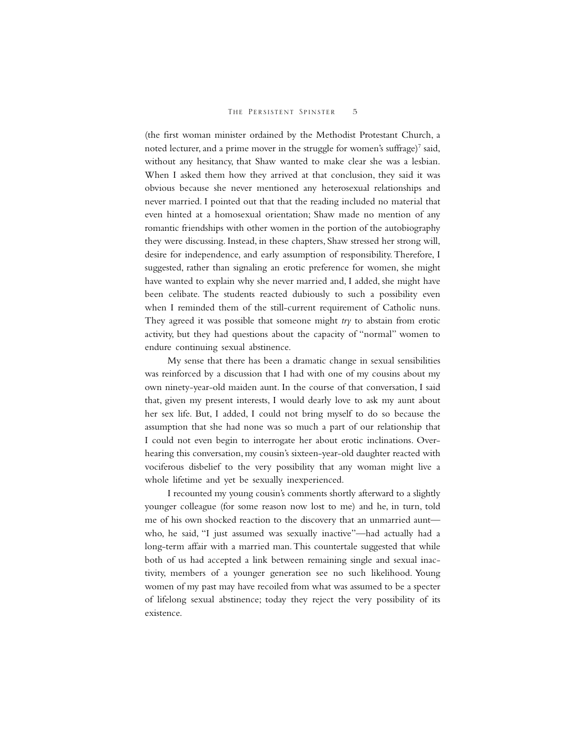(the first woman minister ordained by the Methodist Protestant Church, a noted lecturer, and a prime mover in the struggle for women's suffrage)<sup>7</sup> said, without any hesitancy, that Shaw wanted to make clear she was a lesbian. When I asked them how they arrived at that conclusion, they said it was obvious because she never mentioned any heterosexual relationships and never married. I pointed out that that the reading included no material that even hinted at a homosexual orientation; Shaw made no mention of any romantic friendships with other women in the portion of the autobiography they were discussing. Instead, in these chapters, Shaw stressed her strong will, desire for independence, and early assumption of responsibility. Therefore, I suggested, rather than signaling an erotic preference for women, she might have wanted to explain why she never married and, I added, she might have been celibate. The students reacted dubiously to such a possibility even when I reminded them of the still-current requirement of Catholic nuns. They agreed it was possible that someone might *try* to abstain from erotic activity, but they had questions about the capacity of "normal" women to endure continuing sexual abstinence.

My sense that there has been a dramatic change in sexual sensibilities was reinforced by a discussion that I had with one of my cousins about my own ninety-year-old maiden aunt. In the course of that conversation, I said that, given my present interests, I would dearly love to ask my aunt about her sex life. But, I added, I could not bring myself to do so because the assumption that she had none was so much a part of our relationship that I could not even begin to interrogate her about erotic inclinations. Overhearing this conversation, my cousin's sixteen-year-old daughter reacted with vociferous disbelief to the very possibility that any woman might live a whole lifetime and yet be sexually inexperienced.

I recounted my young cousin's comments shortly afterward to a slightly younger colleague (for some reason now lost to me) and he, in turn, told me of his own shocked reaction to the discovery that an unmarried aunt who, he said, "I just assumed was sexually inactive"—had actually had a long-term affair with a married man. This countertale suggested that while both of us had accepted a link between remaining single and sexual inactivity, members of a younger generation see no such likelihood. Young women of my past may have recoiled from what was assumed to be a specter of lifelong sexual abstinence; today they reject the very possibility of its existence.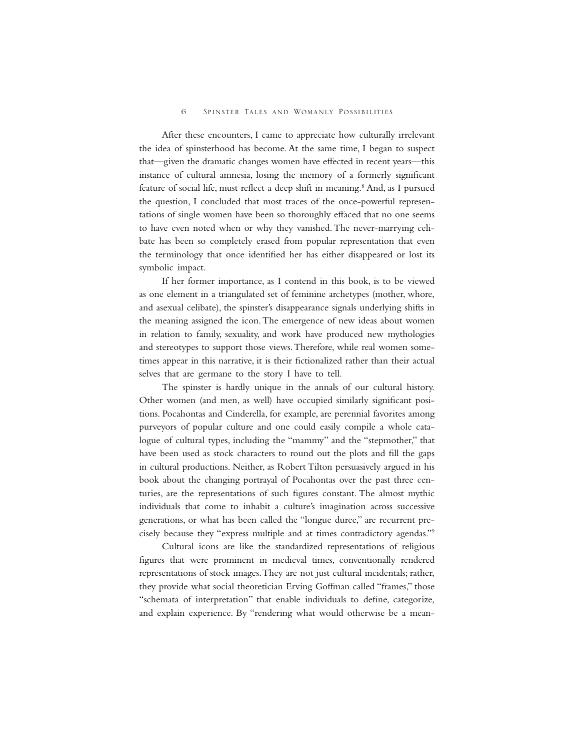After these encounters, I came to appreciate how culturally irrelevant the idea of spinsterhood has become. At the same time, I began to suspect that—given the dramatic changes women have effected in recent years—this instance of cultural amnesia, losing the memory of a formerly significant feature of social life, must reflect a deep shift in meaning.8 And, as I pursued the question, I concluded that most traces of the once-powerful representations of single women have been so thoroughly effaced that no one seems to have even noted when or why they vanished. The never-marrying celibate has been so completely erased from popular representation that even the terminology that once identified her has either disappeared or lost its symbolic impact.

If her former importance, as I contend in this book, is to be viewed as one element in a triangulated set of feminine archetypes (mother, whore, and asexual celibate), the spinster's disappearance signals underlying shifts in the meaning assigned the icon. The emergence of new ideas about women in relation to family, sexuality, and work have produced new mythologies and stereotypes to support those views. Therefore, while real women sometimes appear in this narrative, it is their fictionalized rather than their actual selves that are germane to the story I have to tell.

The spinster is hardly unique in the annals of our cultural history. Other women (and men, as well) have occupied similarly significant positions. Pocahontas and Cinderella, for example, are perennial favorites among purveyors of popular culture and one could easily compile a whole catalogue of cultural types, including the "mammy" and the "stepmother," that have been used as stock characters to round out the plots and fill the gaps in cultural productions. Neither, as Robert Tilton persuasively argued in his book about the changing portrayal of Pocahontas over the past three centuries, are the representations of such figures constant. The almost mythic individuals that come to inhabit a culture's imagination across successive generations, or what has been called the "longue duree," are recurrent precisely because they "express multiple and at times contradictory agendas."9

Cultural icons are like the standardized representations of religious figures that were prominent in medieval times, conventionally rendered representations of stock images. They are not just cultural incidentals; rather, they provide what social theoretician Erving Goffman called "frames," those "schemata of interpretation" that enable individuals to define, categorize, and explain experience. By "rendering what would otherwise be a mean-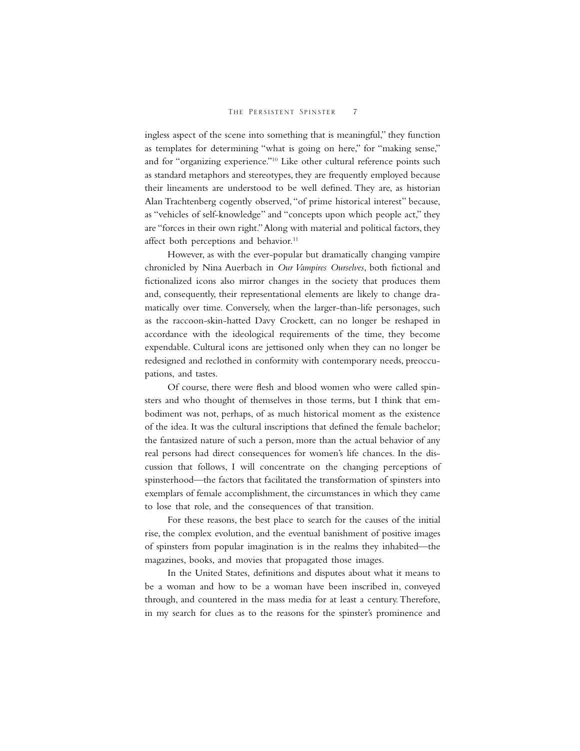ingless aspect of the scene into something that is meaningful," they function as templates for determining "what is going on here," for "making sense," and for "organizing experience."<sup>10</sup> Like other cultural reference points such as standard metaphors and stereotypes, they are frequently employed because their lineaments are understood to be well defined. They are, as historian Alan Trachtenberg cogently observed, "of prime historical interest" because, as "vehicles of self-knowledge" and "concepts upon which people act," they are "forces in their own right." Along with material and political factors, they affect both perceptions and behavior.<sup>11</sup>

However, as with the ever-popular but dramatically changing vampire chronicled by Nina Auerbach in *Our Vampires Ourselves*, both fictional and fictionalized icons also mirror changes in the society that produces them and, consequently, their representational elements are likely to change dramatically over time. Conversely, when the larger-than-life personages, such as the raccoon-skin-hatted Davy Crockett, can no longer be reshaped in accordance with the ideological requirements of the time, they become expendable. Cultural icons are jettisoned only when they can no longer be redesigned and reclothed in conformity with contemporary needs, preoccupations, and tastes.

Of course, there were flesh and blood women who were called spinsters and who thought of themselves in those terms, but I think that embodiment was not, perhaps, of as much historical moment as the existence of the idea. It was the cultural inscriptions that defined the female bachelor; the fantasized nature of such a person, more than the actual behavior of any real persons had direct consequences for women's life chances. In the discussion that follows, I will concentrate on the changing perceptions of spinsterhood—the factors that facilitated the transformation of spinsters into exemplars of female accomplishment, the circumstances in which they came to lose that role, and the consequences of that transition.

For these reasons, the best place to search for the causes of the initial rise, the complex evolution, and the eventual banishment of positive images of spinsters from popular imagination is in the realms they inhabited—the magazines, books, and movies that propagated those images.

In the United States, definitions and disputes about what it means to be a woman and how to be a woman have been inscribed in, conveyed through, and countered in the mass media for at least a century. Therefore, in my search for clues as to the reasons for the spinster's prominence and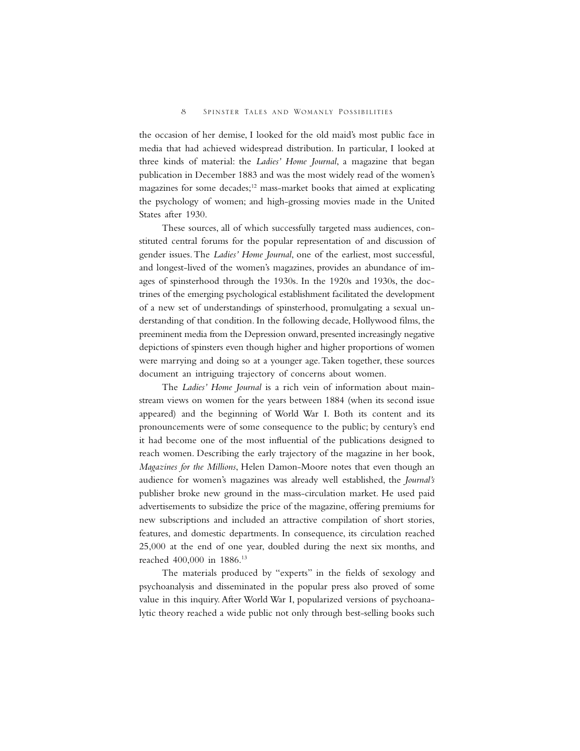the occasion of her demise, I looked for the old maid's most public face in media that had achieved widespread distribution. In particular, I looked at three kinds of material: the *Ladies' Home Journal*, a magazine that began publication in December 1883 and was the most widely read of the women's magazines for some decades;<sup>12</sup> mass-market books that aimed at explicating the psychology of women; and high-grossing movies made in the United States after 1930.

These sources, all of which successfully targeted mass audiences, constituted central forums for the popular representation of and discussion of gender issues. The *Ladies' Home Journal*, one of the earliest, most successful, and longest-lived of the women's magazines, provides an abundance of images of spinsterhood through the 1930s. In the 1920s and 1930s, the doctrines of the emerging psychological establishment facilitated the development of a new set of understandings of spinsterhood, promulgating a sexual understanding of that condition. In the following decade, Hollywood films, the preeminent media from the Depression onward, presented increasingly negative depictions of spinsters even though higher and higher proportions of women were marrying and doing so at a younger age. Taken together, these sources document an intriguing trajectory of concerns about women.

The *Ladies' Home Journal* is a rich vein of information about mainstream views on women for the years between 1884 (when its second issue appeared) and the beginning of World War I. Both its content and its pronouncements were of some consequence to the public; by century's end it had become one of the most influential of the publications designed to reach women. Describing the early trajectory of the magazine in her book, *Magazines for the Millions*, Helen Damon-Moore notes that even though an audience for women's magazines was already well established, the *Journal's* publisher broke new ground in the mass-circulation market. He used paid advertisements to subsidize the price of the magazine, offering premiums for new subscriptions and included an attractive compilation of short stories, features, and domestic departments. In consequence, its circulation reached 25,000 at the end of one year, doubled during the next six months, and reached 400,000 in 1886.13

The materials produced by "experts" in the fields of sexology and psychoanalysis and disseminated in the popular press also proved of some value in this inquiry. After World War I, popularized versions of psychoanalytic theory reached a wide public not only through best-selling books such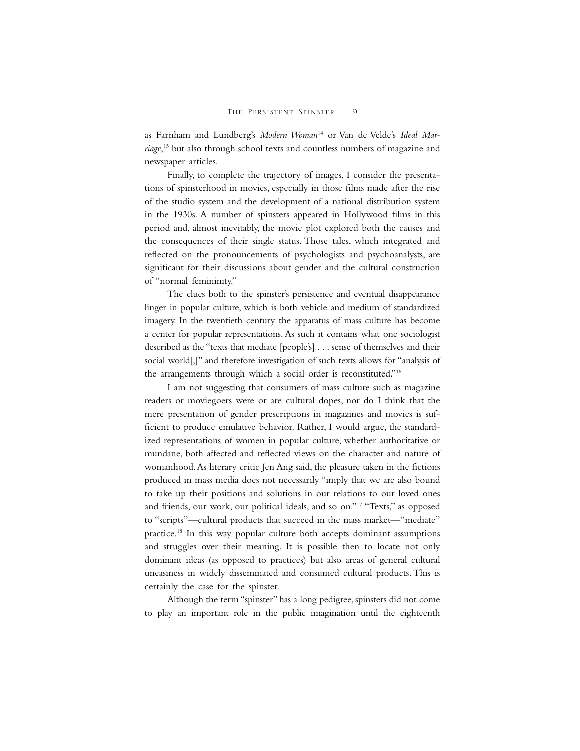as Farnham and Lundberg's *Modern Woman*14 or Van de Velde's *Ideal Marriage*, 15 but also through school texts and countless numbers of magazine and newspaper articles.

Finally, to complete the trajectory of images, I consider the presentations of spinsterhood in movies, especially in those films made after the rise of the studio system and the development of a national distribution system in the 1930s. A number of spinsters appeared in Hollywood films in this period and, almost inevitably, the movie plot explored both the causes and the consequences of their single status. Those tales, which integrated and reflected on the pronouncements of psychologists and psychoanalysts, are significant for their discussions about gender and the cultural construction of "normal femininity."

The clues both to the spinster's persistence and eventual disappearance linger in popular culture, which is both vehicle and medium of standardized imagery. In the twentieth century the apparatus of mass culture has become a center for popular representations. As such it contains what one sociologist described as the "texts that mediate [people's] . . . sense of themselves and their social world[,]" and therefore investigation of such texts allows for "analysis of the arrangements through which a social order is reconstituted."16

I am not suggesting that consumers of mass culture such as magazine readers or moviegoers were or are cultural dopes, nor do I think that the mere presentation of gender prescriptions in magazines and movies is sufficient to produce emulative behavior. Rather, I would argue, the standardized representations of women in popular culture, whether authoritative or mundane, both affected and reflected views on the character and nature of womanhood. As literary critic Jen Ang said, the pleasure taken in the fictions produced in mass media does not necessarily "imply that we are also bound to take up their positions and solutions in our relations to our loved ones and friends, our work, our political ideals, and so on."17 "Texts," as opposed to "scripts"—cultural products that succeed in the mass market—"mediate" practice.18 In this way popular culture both accepts dominant assumptions and struggles over their meaning. It is possible then to locate not only dominant ideas (as opposed to practices) but also areas of general cultural uneasiness in widely disseminated and consumed cultural products. This is certainly the case for the spinster.

Although the term "spinster" has a long pedigree, spinsters did not come to play an important role in the public imagination until the eighteenth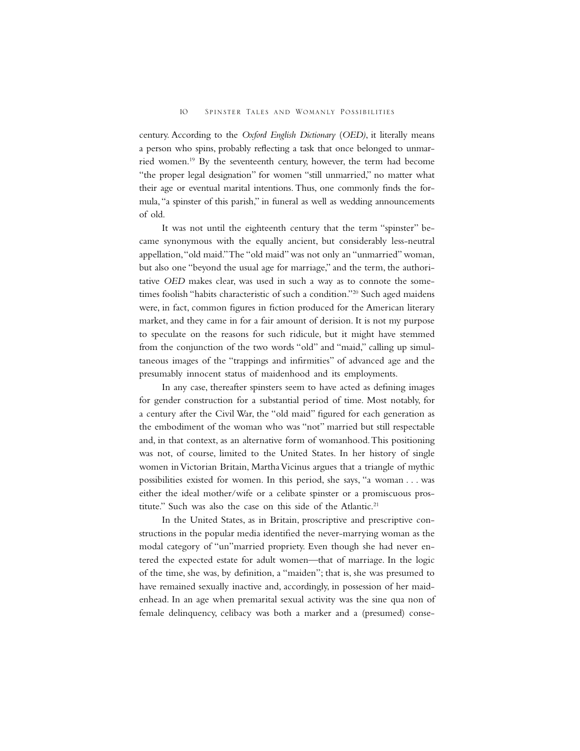century. According to the *Oxford English Dictionary* (*OED)*, it literally means a person who spins, probably reflecting a task that once belonged to unmarried women.<sup>19</sup> By the seventeenth century, however, the term had become "the proper legal designation" for women "still unmarried," no matter what their age or eventual marital intentions. Thus, one commonly finds the formula, "a spinster of this parish," in funeral as well as wedding announcements of old.

It was not until the eighteenth century that the term "spinster" became synonymous with the equally ancient, but considerably less-neutral appellation, "old maid." The "old maid" was not only an "unmarried" woman, but also one "beyond the usual age for marriage," and the term, the authoritative *OED* makes clear, was used in such a way as to connote the sometimes foolish "habits characteristic of such a condition."<sup>20</sup> Such aged maidens were, in fact, common figures in fiction produced for the American literary market, and they came in for a fair amount of derision. It is not my purpose to speculate on the reasons for such ridicule, but it might have stemmed from the conjunction of the two words "old" and "maid," calling up simultaneous images of the "trappings and infirmities" of advanced age and the presumably innocent status of maidenhood and its employments.

In any case, thereafter spinsters seem to have acted as defining images for gender construction for a substantial period of time. Most notably, for a century after the Civil War, the "old maid" figured for each generation as the embodiment of the woman who was "not" married but still respectable and, in that context, as an alternative form of womanhood. This positioning was not, of course, limited to the United States. In her history of single women in Victorian Britain, Martha Vicinus argues that a triangle of mythic possibilities existed for women. In this period, she says, "a woman . . . was either the ideal mother/wife or a celibate spinster or a promiscuous prostitute." Such was also the case on this side of the Atlantic.<sup>21</sup>

In the United States, as in Britain, proscriptive and prescriptive constructions in the popular media identified the never-marrying woman as the modal category of "un"married propriety. Even though she had never entered the expected estate for adult women—that of marriage. In the logic of the time, she was, by definition, a "maiden"; that is, she was presumed to have remained sexually inactive and, accordingly, in possession of her maidenhead. In an age when premarital sexual activity was the sine qua non of female delinquency, celibacy was both a marker and a (presumed) conse-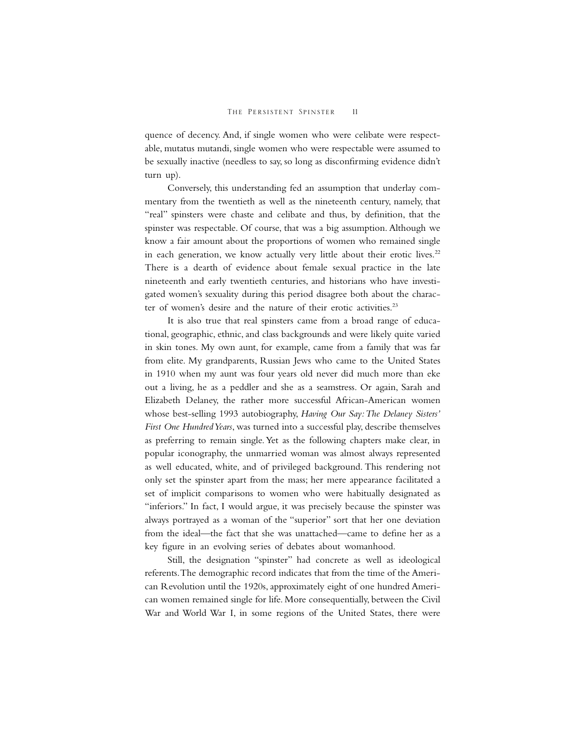quence of decency. And, if single women who were celibate were respectable, mutatus mutandi, single women who were respectable were assumed to be sexually inactive (needless to say, so long as disconfirming evidence didn't turn up).

Conversely, this understanding fed an assumption that underlay commentary from the twentieth as well as the nineteenth century, namely, that "real" spinsters were chaste and celibate and thus, by definition, that the spinster was respectable. Of course, that was a big assumption. Although we know a fair amount about the proportions of women who remained single in each generation, we know actually very little about their erotic lives.<sup>22</sup> There is a dearth of evidence about female sexual practice in the late nineteenth and early twentieth centuries, and historians who have investigated women's sexuality during this period disagree both about the character of women's desire and the nature of their erotic activities.<sup>23</sup>

It is also true that real spinsters came from a broad range of educational, geographic, ethnic, and class backgrounds and were likely quite varied in skin tones. My own aunt, for example, came from a family that was far from elite. My grandparents, Russian Jews who came to the United States in 1910 when my aunt was four years old never did much more than eke out a living, he as a peddler and she as a seamstress. Or again, Sarah and Elizabeth Delaney, the rather more successful African-American women whose best-selling 1993 autobiography, *Having Our Say: The Delaney Sisters' First One Hundred Years*, was turned into a successful play, describe themselves as preferring to remain single. Yet as the following chapters make clear, in popular iconography, the unmarried woman was almost always represented as well educated, white, and of privileged background. This rendering not only set the spinster apart from the mass; her mere appearance facilitated a set of implicit comparisons to women who were habitually designated as "inferiors." In fact, I would argue, it was precisely because the spinster was always portrayed as a woman of the "superior" sort that her one deviation from the ideal—the fact that she was unattached—came to define her as a key figure in an evolving series of debates about womanhood.

Still, the designation "spinster" had concrete as well as ideological referents. The demographic record indicates that from the time of the American Revolution until the 1920s, approximately eight of one hundred American women remained single for life. More consequentially, between the Civil War and World War I, in some regions of the United States, there were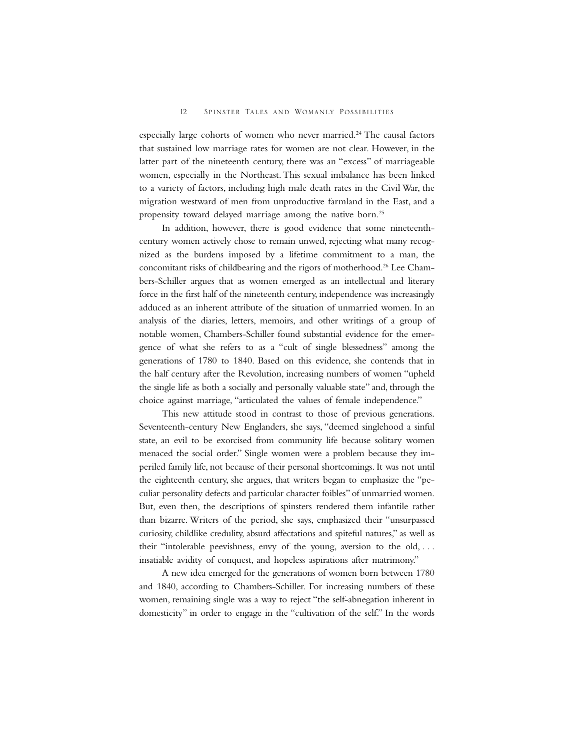especially large cohorts of women who never married.<sup>24</sup> The causal factors that sustained low marriage rates for women are not clear. However, in the latter part of the nineteenth century, there was an "excess" of marriageable women, especially in the Northeast. This sexual imbalance has been linked to a variety of factors, including high male death rates in the Civil War, the migration westward of men from unproductive farmland in the East, and a propensity toward delayed marriage among the native born.25

In addition, however, there is good evidence that some nineteenthcentury women actively chose to remain unwed, rejecting what many recognized as the burdens imposed by a lifetime commitment to a man, the concomitant risks of childbearing and the rigors of motherhood.26 Lee Chambers-Schiller argues that as women emerged as an intellectual and literary force in the first half of the nineteenth century, independence was increasingly adduced as an inherent attribute of the situation of unmarried women. In an analysis of the diaries, letters, memoirs, and other writings of a group of notable women, Chambers-Schiller found substantial evidence for the emergence of what she refers to as a "cult of single blessedness" among the generations of 1780 to 1840. Based on this evidence, she contends that in the half century after the Revolution, increasing numbers of women "upheld the single life as both a socially and personally valuable state" and, through the choice against marriage, "articulated the values of female independence."

This new attitude stood in contrast to those of previous generations. Seventeenth-century New Englanders, she says, "deemed singlehood a sinful state, an evil to be exorcised from community life because solitary women menaced the social order." Single women were a problem because they imperiled family life, not because of their personal shortcomings. It was not until the eighteenth century, she argues, that writers began to emphasize the "peculiar personality defects and particular character foibles" of unmarried women. But, even then, the descriptions of spinsters rendered them infantile rather than bizarre. Writers of the period, she says, emphasized their "unsurpassed curiosity, childlike credulity, absurd affectations and spiteful natures," as well as their "intolerable peevishness, envy of the young, aversion to the old, . . . insatiable avidity of conquest, and hopeless aspirations after matrimony."

A new idea emerged for the generations of women born between 1780 and 1840, according to Chambers-Schiller. For increasing numbers of these women, remaining single was a way to reject "the self-abnegation inherent in domesticity" in order to engage in the "cultivation of the self." In the words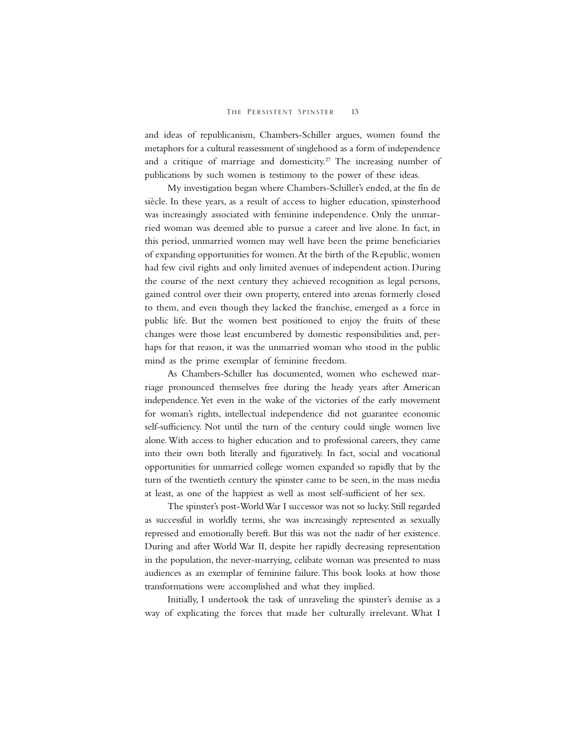and ideas of republicanism, Chambers-Schiller argues, women found the metaphors for a cultural reassessment of singlehood as a form of independence and a critique of marriage and domesticity.<sup>27</sup> The increasing number of publications by such women is testimony to the power of these ideas.

My investigation began where Chambers-Schiller's ended, at the fín de siècle. In these years, as a result of access to higher education, spinsterhood was increasingly associated with feminine independence. Only the unmarried woman was deemed able to pursue a career and live alone. In fact, in this period, unmarried women may well have been the prime beneficiaries of expanding opportunities for women. At the birth of the Republic, women had few civil rights and only limited avenues of independent action. During the course of the next century they achieved recognition as legal persons, gained control over their own property, entered into arenas formerly closed to them, and even though they lacked the franchise, emerged as a force in public life. But the women best positioned to enjoy the fruits of these changes were those least encumbered by domestic responsibilities and, perhaps for that reason, it was the unmarried woman who stood in the public mind as the prime exemplar of feminine freedom.

As Chambers-Schiller has documented, women who eschewed marriage pronounced themselves free during the heady years after American independence. Yet even in the wake of the victories of the early movement for woman's rights, intellectual independence did not guarantee economic self-sufficiency. Not until the turn of the century could single women live alone. With access to higher education and to professional careers, they came into their own both literally and figuratively. In fact, social and vocational opportunities for unmarried college women expanded so rapidly that by the turn of the twentieth century the spinster came to be seen, in the mass media at least, as one of the happiest as well as most self-sufficient of her sex.

The spinster's post-World War I successor was not so lucky. Still regarded as successful in worldly terms, she was increasingly represented as sexually repressed and emotionally bereft. But this was not the nadir of her existence. During and after World War II, despite her rapidly decreasing representation in the population, the never-marrying, celibate woman was presented to mass audiences as an exemplar of feminine failure. This book looks at how those transformations were accomplished and what they implied.

Initially, I undertook the task of unraveling the spinster's demise as a way of explicating the forces that made her culturally irrelevant. What I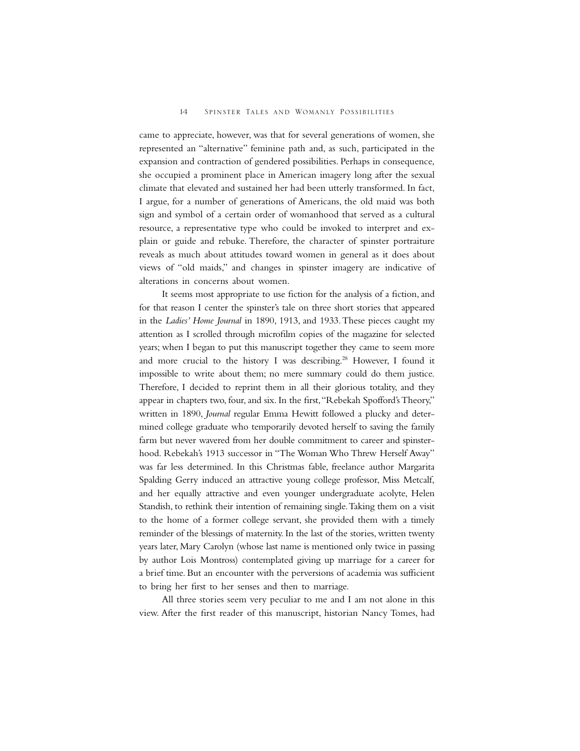came to appreciate, however, was that for several generations of women, she represented an "alternative" feminine path and, as such, participated in the expansion and contraction of gendered possibilities. Perhaps in consequence, she occupied a prominent place in American imagery long after the sexual climate that elevated and sustained her had been utterly transformed. In fact, I argue, for a number of generations of Americans, the old maid was both sign and symbol of a certain order of womanhood that served as a cultural resource, a representative type who could be invoked to interpret and explain or guide and rebuke. Therefore, the character of spinster portraiture reveals as much about attitudes toward women in general as it does about views of "old maids," and changes in spinster imagery are indicative of alterations in concerns about women.

It seems most appropriate to use fiction for the analysis of a fiction, and for that reason I center the spinster's tale on three short stories that appeared in the *Ladies' Home Journal* in 1890, 1913, and 1933. These pieces caught my attention as I scrolled through microfilm copies of the magazine for selected years; when I began to put this manuscript together they came to seem more and more crucial to the history I was describing.<sup>28</sup> However, I found it impossible to write about them; no mere summary could do them justice. Therefore, I decided to reprint them in all their glorious totality, and they appear in chapters two, four, and six. In the first, "Rebekah Spofford's Theory," written in 1890, *Journal* regular Emma Hewitt followed a plucky and determined college graduate who temporarily devoted herself to saving the family farm but never wavered from her double commitment to career and spinsterhood. Rebekah's 1913 successor in "The Woman Who Threw Herself Away" was far less determined. In this Christmas fable, freelance author Margarita Spalding Gerry induced an attractive young college professor, Miss Metcalf, and her equally attractive and even younger undergraduate acolyte, Helen Standish, to rethink their intention of remaining single. Taking them on a visit to the home of a former college servant, she provided them with a timely reminder of the blessings of maternity. In the last of the stories, written twenty years later, Mary Carolyn (whose last name is mentioned only twice in passing by author Lois Montross) contemplated giving up marriage for a career for a brief time. But an encounter with the perversions of academia was sufficient to bring her first to her senses and then to marriage.

All three stories seem very peculiar to me and I am not alone in this view. After the first reader of this manuscript, historian Nancy Tomes, had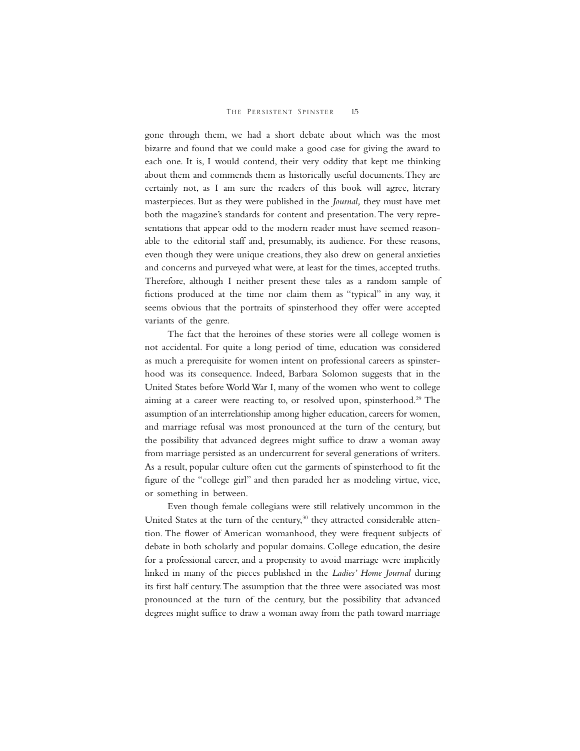gone through them, we had a short debate about which was the most bizarre and found that we could make a good case for giving the award to each one. It is, I would contend, their very oddity that kept me thinking about them and commends them as historically useful documents. They are certainly not, as I am sure the readers of this book will agree, literary masterpieces. But as they were published in the *Journal,* they must have met both the magazine's standards for content and presentation. The very representations that appear odd to the modern reader must have seemed reasonable to the editorial staff and, presumably, its audience. For these reasons, even though they were unique creations, they also drew on general anxieties and concerns and purveyed what were, at least for the times, accepted truths. Therefore, although I neither present these tales as a random sample of fictions produced at the time nor claim them as "typical" in any way, it seems obvious that the portraits of spinsterhood they offer were accepted variants of the genre.

The fact that the heroines of these stories were all college women is not accidental. For quite a long period of time, education was considered as much a prerequisite for women intent on professional careers as spinsterhood was its consequence. Indeed, Barbara Solomon suggests that in the United States before World War I, many of the women who went to college aiming at a career were reacting to, or resolved upon, spinsterhood.<sup>29</sup> The assumption of an interrelationship among higher education, careers for women, and marriage refusal was most pronounced at the turn of the century, but the possibility that advanced degrees might suffice to draw a woman away from marriage persisted as an undercurrent for several generations of writers. As a result, popular culture often cut the garments of spinsterhood to fit the figure of the "college girl" and then paraded her as modeling virtue, vice, or something in between.

Even though female collegians were still relatively uncommon in the United States at the turn of the century, $30$  they attracted considerable attention. The flower of American womanhood, they were frequent subjects of debate in both scholarly and popular domains. College education, the desire for a professional career, and a propensity to avoid marriage were implicitly linked in many of the pieces published in the *Ladies' Home Journal* during its first half century. The assumption that the three were associated was most pronounced at the turn of the century, but the possibility that advanced degrees might suffice to draw a woman away from the path toward marriage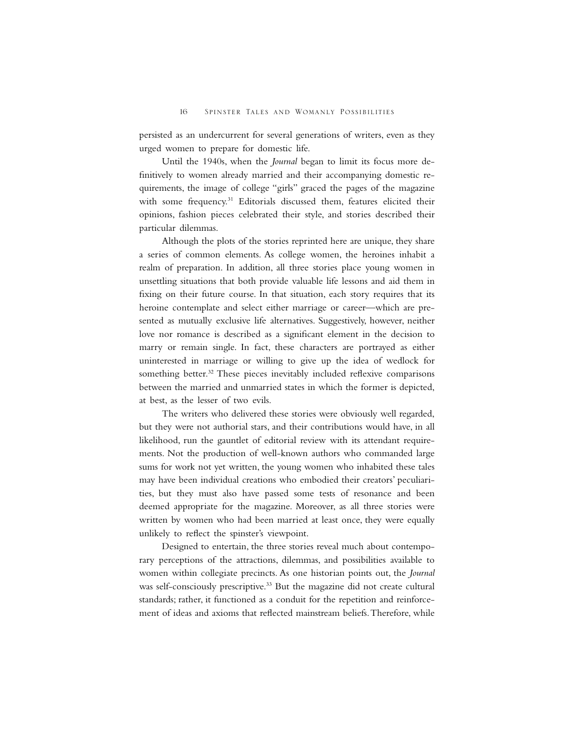persisted as an undercurrent for several generations of writers, even as they urged women to prepare for domestic life.

Until the 1940s, when the *Journal* began to limit its focus more definitively to women already married and their accompanying domestic requirements, the image of college "girls" graced the pages of the magazine with some frequency.<sup>31</sup> Editorials discussed them, features elicited their opinions, fashion pieces celebrated their style, and stories described their particular dilemmas.

Although the plots of the stories reprinted here are unique, they share a series of common elements. As college women, the heroines inhabit a realm of preparation. In addition, all three stories place young women in unsettling situations that both provide valuable life lessons and aid them in fixing on their future course. In that situation, each story requires that its heroine contemplate and select either marriage or career—which are presented as mutually exclusive life alternatives. Suggestively, however, neither love nor romance is described as a significant element in the decision to marry or remain single. In fact, these characters are portrayed as either uninterested in marriage or willing to give up the idea of wedlock for something better.<sup>32</sup> These pieces inevitably included reflexive comparisons between the married and unmarried states in which the former is depicted, at best, as the lesser of two evils.

The writers who delivered these stories were obviously well regarded, but they were not authorial stars, and their contributions would have, in all likelihood, run the gauntlet of editorial review with its attendant requirements. Not the production of well-known authors who commanded large sums for work not yet written, the young women who inhabited these tales may have been individual creations who embodied their creators' peculiarities, but they must also have passed some tests of resonance and been deemed appropriate for the magazine. Moreover, as all three stories were written by women who had been married at least once, they were equally unlikely to reflect the spinster's viewpoint.

Designed to entertain, the three stories reveal much about contemporary perceptions of the attractions, dilemmas, and possibilities available to women within collegiate precincts. As one historian points out, the *Journal* was self-consciously prescriptive.<sup>33</sup> But the magazine did not create cultural standards; rather, it functioned as a conduit for the repetition and reinforcement of ideas and axioms that reflected mainstream beliefs. Therefore, while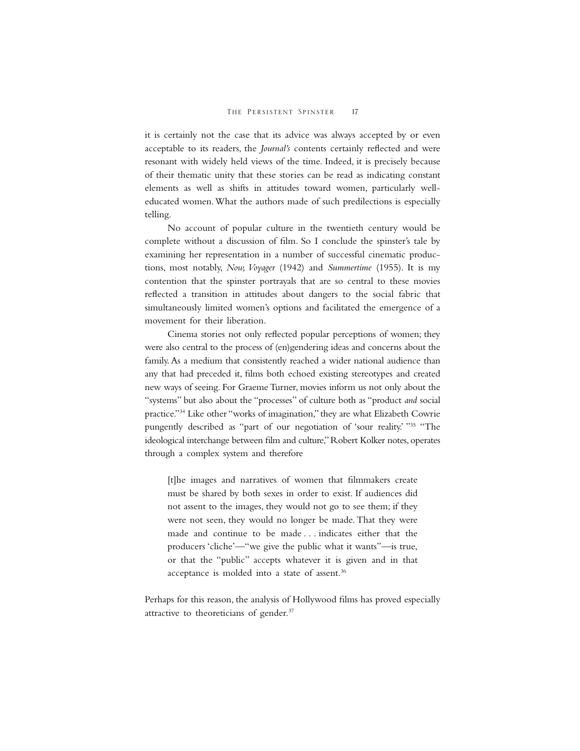it is certainly not the case that its advice was always accepted by or even acceptable to its readers, the *Journal's* contents certainly reflected and were resonant with widely held views of the time. Indeed, it is precisely because of their thematic unity that these stories can be read as indicating constant elements as well as shifts in attitudes toward women, particularly welleducated women. What the authors made of such predilections is especially telling.

No account of popular culture in the twentieth century would be complete without a discussion of film. So I conclude the spinster's tale by examining her representation in a number of successful cinematic productions, most notably, *Now, Voyager* (1942) and *Summertime* (1955). It is my contention that the spinster portrayals that are so central to these movies reflected a transition in attitudes about dangers to the social fabric that simultaneously limited women's options and facilitated the emergence of a movement for their liberation.

Cinema stories not only reflected popular perceptions of women; they were also central to the process of (en)gendering ideas and concerns about the family. As a medium that consistently reached a wider national audience than any that had preceded it, films both echoed existing stereotypes and created new ways of seeing. For Graeme Turner, movies inform us not only about the "systems" but also about the "processes" of culture both as "product *and* social practice."34 Like other "works of imagination," they are what Elizabeth Cowrie pungently described as "part of our negotiation of 'sour reality.' "35 "The ideological interchange between film and culture," Robert Kolker notes, operates through a complex system and therefore

[t]he images and narratives of women that filmmakers create must be shared by both sexes in order to exist. If audiences did not assent to the images, they would not go to see them; if they were not seen, they would no longer be made. That they were made and continue to be made . . . indicates either that the producers 'cliche'—"we give the public what it wants"—is true, or that the "public" accepts whatever it is given and in that acceptance is molded into a state of assent.36

Perhaps for this reason, the analysis of Hollywood films has proved especially attractive to theoreticians of gender.<sup>37</sup>